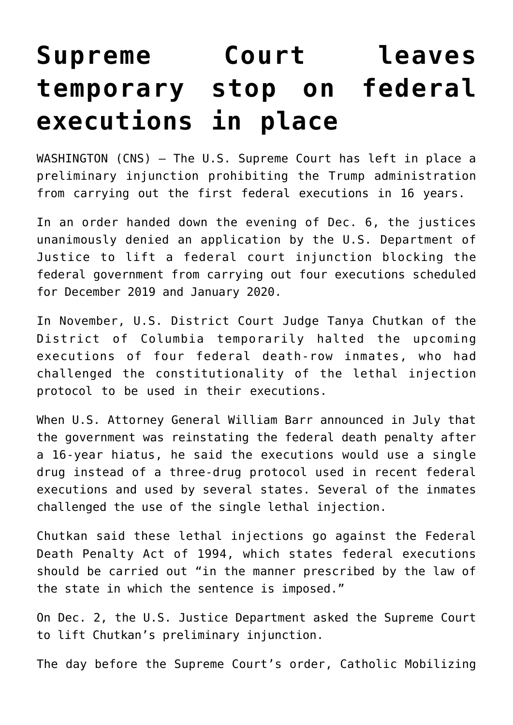## **[Supreme Court leaves](https://www.osvnews.com/2019/12/10/supreme-court-leaves-temporary-stop-on-federal-executions-in-place/) [temporary stop on federal](https://www.osvnews.com/2019/12/10/supreme-court-leaves-temporary-stop-on-federal-executions-in-place/) [executions in place](https://www.osvnews.com/2019/12/10/supreme-court-leaves-temporary-stop-on-federal-executions-in-place/)**

WASHINGTON (CNS) — The U.S. Supreme Court has left in place a preliminary injunction prohibiting the Trump administration from carrying out the first federal executions in 16 years.

In an order handed down the evening of Dec. 6, the justices unanimously denied an application by the U.S. Department of Justice to lift a federal court injunction blocking the federal government from carrying out four executions scheduled for December 2019 and January 2020.

In November, U.S. District Court Judge Tanya Chutkan of the District of Columbia temporarily halted the upcoming executions of four federal death-row inmates, who had challenged the constitutionality of the lethal injection protocol to be used in their executions.

When U.S. Attorney General William Barr announced in July that the government was reinstating the federal death penalty after a 16-year hiatus, he said the executions would use a single drug instead of a three-drug protocol used in recent federal executions and used by several states. Several of the inmates challenged the use of the single lethal injection.

Chutkan said these lethal injections go against the Federal Death Penalty Act of 1994, which states federal executions should be carried out "in the manner prescribed by the law of the state in which the sentence is imposed."

On Dec. 2, the U.S. Justice Department asked the Supreme Court to lift Chutkan's preliminary injunction.

The day before the Supreme Court's order, Catholic Mobilizing